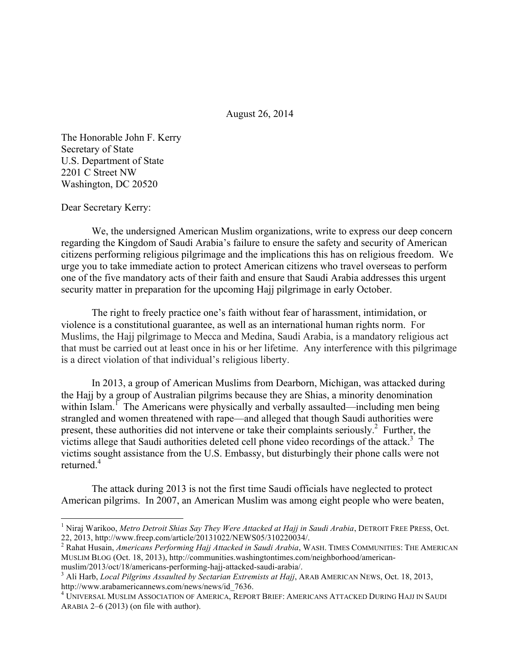August 26, 2014

The Honorable John F. Kerry Secretary of State U.S. Department of State 2201 C Street NW Washington, DC 20520

Dear Secretary Kerry:

We, the undersigned American Muslim organizations, write to express our deep concern regarding the Kingdom of Saudi Arabia's failure to ensure the safety and security of American citizens performing religious pilgrimage and the implications this has on religious freedom. We urge you to take immediate action to protect American citizens who travel overseas to perform one of the five mandatory acts of their faith and ensure that Saudi Arabia addresses this urgent security matter in preparation for the upcoming Hajj pilgrimage in early October.

The right to freely practice one's faith without fear of harassment, intimidation, or violence is a constitutional guarantee, as well as an international human rights norm. For Muslims, the Hajj pilgrimage to Mecca and Medina, Saudi Arabia, is a mandatory religious act that must be carried out at least once in his or her lifetime. Any interference with this pilgrimage is a direct violation of that individual's religious liberty.

In 2013, a group of American Muslims from Dearborn, Michigan, was attacked during the Hajj by a group of Australian pilgrims because they are Shias, a minority denomination within Islam.<sup>1</sup> The Americans were physically and verbally assaulted—including men being strangled and women threatened with rape—and alleged that though Saudi authorities were present, these authorities did not intervene or take their complaints seriously.<sup>2</sup> Further, the victims allege that Saudi authorities deleted cell phone video recordings of the attack.<sup>3</sup> The victims sought assistance from the U.S. Embassy, but disturbingly their phone calls were not returned. $4$ 

The attack during 2013 is not the first time Saudi officials have neglected to protect American pilgrims. In 2007, an American Muslim was among eight people who were beaten,

<sup>&</sup>lt;sup>1</sup> Niraj Warikoo, *Metro Detroit Shias Say They Were Attacked at Hajj in Saudi Arabia*, DETROIT FREE PRESS, Oct. 22, 2013, http://www.freep.com/article/20131022/NEWS05/310220034/.

<sup>2</sup> Rahat Husain, *Americans Performing Hajj Attacked in Saudi Arabia*, WASH. TIMES COMMUNITIES: THE AMERICAN MUSLIM BLOG (Oct. 18, 2013), http://communities.washingtontimes.com/neighborhood/american-<br>muslim/2013/oct/18/americans-performing-hajj-attacked-saudi-arabia/.

<sup>&</sup>lt;sup>3</sup> Ali Harb, *Local Pilgrims Assaulted by Sectarian Extremists at Hajj*, ARAB AMERICAN NEWS, Oct. 18, 2013, http://www.arabamericannews.com/news/news/id\_7636.

<sup>4</sup> UNIVERSAL MUSLIM ASSOCIATION OF AMERICA, REPORT BRIEF: AMERICANS ATTACKED DURING HAJJ IN SAUDI ARABIA 2–6 (2013) (on file with author).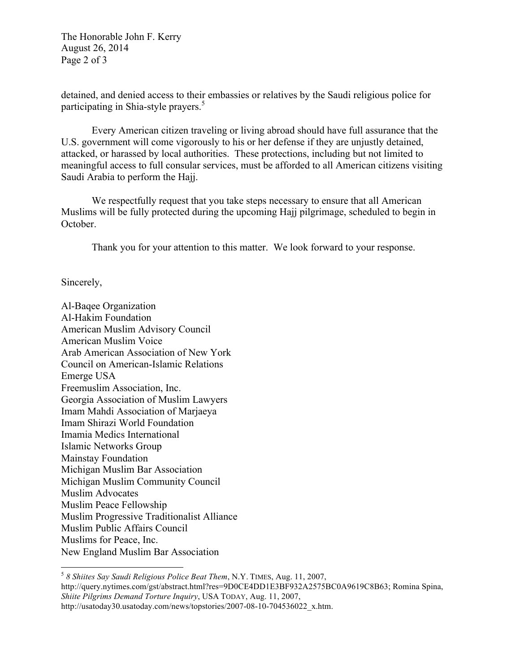The Honorable John F. Kerry August 26, 2014 Page 2 of 3

detained, and denied access to their embassies or relatives by the Saudi religious police for participating in Shia-style prayers. 5

Every American citizen traveling or living abroad should have full assurance that the U.S. government will come vigorously to his or her defense if they are unjustly detained, attacked, or harassed by local authorities. These protections, including but not limited to meaningful access to full consular services, must be afforded to all American citizens visiting Saudi Arabia to perform the Hajj.

We respectfully request that you take steps necessary to ensure that all American Muslims will be fully protected during the upcoming Hajj pilgrimage, scheduled to begin in October.

Thank you for your attention to this matter. We look forward to your response.

Sincerely,

Al-Baqee Organization Al-Hakim Foundation American Muslim Advisory Council American Muslim Voice Arab American Association of New York Council on American-Islamic Relations Emerge USA Freemuslim Association, Inc. Georgia Association of Muslim Lawyers Imam Mahdi Association of Marjaeya Imam Shirazi World Foundation Imamia Medics International Islamic Networks Group Mainstay Foundation Michigan Muslim Bar Association Michigan Muslim Community Council Muslim Advocates Muslim Peace Fellowship Muslim Progressive Traditionalist Alliance Muslim Public Affairs Council Muslims for Peace, Inc. New England Muslim Bar Association

<sup>5</sup> 8 Shiites Say Saudi Religious Police Beat Them, N.Y. TIMES, Aug. 11, 2007, http://query.nytimes.com/gst/abstract.html?res=9D0CE4DD1E3BF932A2575BC0A9619C8B63; Romina Spina, *Shiite Pilgrims Demand Torture Inquiry*, USA TODAY, Aug. 11, 2007, http://usatoday30.usatoday.com/news/topstories/2007-08-10-704536022\_x.htm.